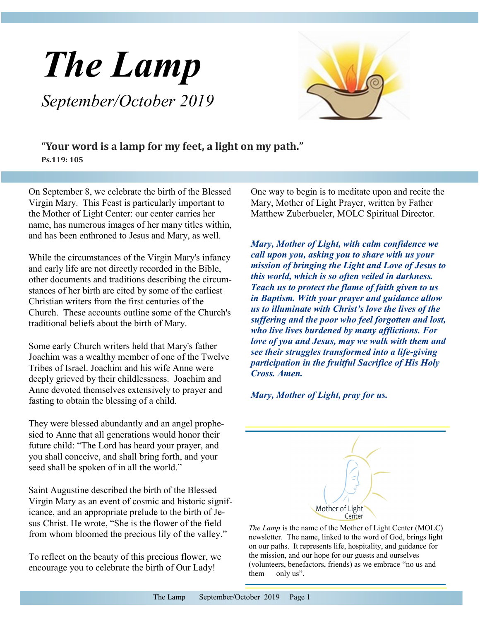



**"Your word is a lamp for my feet, a light on my path." Ps.119: 105**

On September 8, we celebrate the birth of the Blessed Virgin Mary. This Feast is particularly important to the Mother of Light Center: our center carries her name, has numerous images of her many titles within, and has been enthroned to Jesus and Mary, as well.

While the circumstances of the Virgin Mary's infancy and early life are not directly recorded in the Bible, other documents and traditions describing the circumstances of her birth are cited by some of the earliest Christian writers from the first centuries of the Church. These accounts outline some of the Church's traditional beliefs about the birth of Mary.

Some early Church writers held that Mary's father Joachim was a wealthy member of one of the Twelve Tribes of Israel. Joachim and his wife Anne were deeply grieved by their childlessness. Joachim and Anne devoted themselves extensively to prayer and fasting to obtain the blessing of a child.

They were blessed abundantly and an angel prophesied to Anne that all generations would honor their future child: "The Lord has heard your prayer, and you shall conceive, and shall bring forth, and your seed shall be spoken of in all the world."

Saint Augustine described the birth of the Blessed Virgin Mary as an event of cosmic and historic significance, and an appropriate prelude to the birth of Jesus Christ. He wrote, "She is the flower of the field from whom bloomed the precious lily of the valley."

To reflect on the beauty of this precious flower, we encourage you to celebrate the birth of Our Lady!

One way to begin is to meditate upon and recite the Mary, Mother of Light Prayer, written by Father Matthew Zuberbueler, MOLC Spiritual Director.

*Mary, Mother of Light, with calm confidence we call upon you, asking you to share with us your mission of bringing the Light and Love of Jesus to this world, which is so often veiled in darkness. Teach us to protect the flame of faith given to us in Baptism. With your prayer and guidance allow us to illuminate with Christ's love the lives of the suffering and the poor who feel forgotten and lost, who live lives burdened by many afflictions. For love of you and Jesus, may we walk with them and see their struggles transformed into a life-giving participation in the fruitful Sacrifice of His Holy Cross. Amen.* 

*Mary, Mother of Light, pray for us.* 



*The Lamp* is the name of the Mother of Light Center (MOLC) newsletter. The name, linked to the word of God, brings light on our paths. It represents life, hospitality, and guidance for the mission, and our hope for our guests and ourselves (volunteers, benefactors, friends) as we embrace "no us and them  $-$  only us".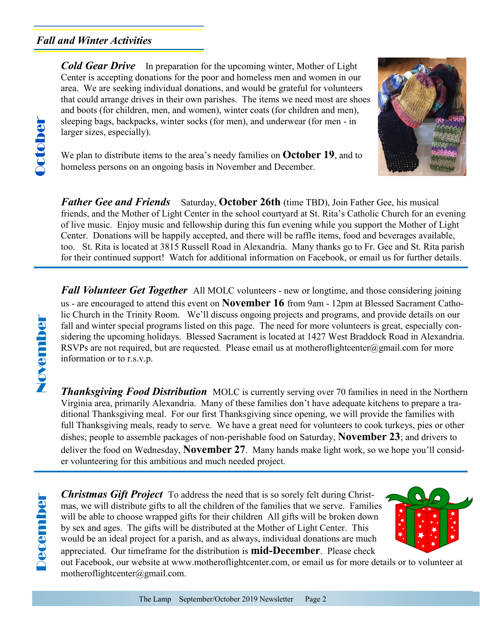## *Fall and Winter Activities*

*Cold Gear Drive* In preparation for the upcoming winter, Mother of Light Center is accepting donations for the poor and homeless men and women in our area. We are seeking individual donations, and would be grateful for volunteers that could arrange drives in their own parishes. The items we need most are shoes and boots (for children, men, and women), winter coats (for children and men), sleeping bags, backpacks, winter socks (for men), and underwear (for men - in larger sizes, especially).



We plan to distribute items to the area's needy families on **October 19**, and to homeless persons on an ongoing basis in November and December.

**Father Gee and Friends** Saturday, **October 26th** (time TBD), Join Father Gee, his musical friends, and the Mother of Light Center in the school courtyard at St. Rita's Catholic Church for an evening of live music. Enjoy music and fellowship during this fun evening while you support the Mother of Light Center. Donations will be happily accepted, and there will be raffle items, food and beverages available, too. St. Rita is located at 3815 Russell Road in Alexandria. Many thanks go to Fr. Gee and St. Rita parish for their continued support! Watch for additional information on Facebook, or email us for further details.

**Fall Volunteer Get Together** All MOLC volunteers - new or longtime, and those considering joining us - are encouraged to attend this event on **November 16** from 9am - 12pm at Blessed Sacrament Catholic Church in the Trinity Room. We'll discuss ongoing projects and programs, and provide details on our fall and winter special programs listed on this page. The need for more volunteers is great, especially considering the upcoming holidays. Blessed Sacrament is located at 1427 West Braddock Road in Alexandria. RSVPs are not required, but are requested. Please email us at motheroflightcenter@gmail.com for more information or to r.s.v.p.

**Thanksgiving Food Distribution** MOLC is currently serving over 70 families in need in the Northern Virginia area, primarily Alexandria. Many of these families don't have adequate kitchens to prepare a traditional Thanksgiving meal. For our first Thanksgiving since opening, we will provide the families with full Thanksgiving meals, ready to serve. We have a great need for volunteers to cook turkeys, pies or other dishes; people to assemble packages of non-perishable food on Saturday, **November 23**; and drivers to deliver the food on Wednesday, **November 27**. Many hands make light work, so we hope you'll consider volunteering for this ambitious and much needed project.

NovemberNovember

> *Christmas Gift Project* To address the need that is so sorely felt during Christmas, we will distribute gifts to all the children of the families that we serve. Families will be able to choose wrapped gifts for their children All gifts will be broken down by sex and ages. The gifts will be distributed at the Mother of Light Center. This would be an ideal project for a parish, and as always, individual donations are much appreciated. Our timeframe for the distribution is **mid-December**. Please check



out Facebook, our website at www.motheroflightcenter.com, or email us for more details or to volunteer at motheroflightcenter@gmail.com.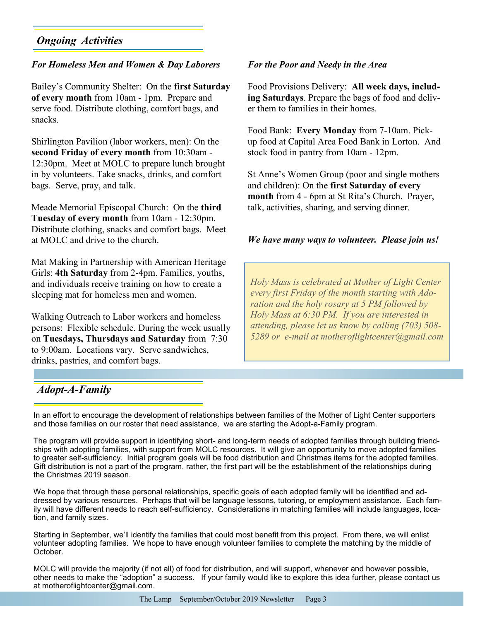# *Ongoing Activities*

### *For Homeless Men and Women & Day Laborers*

Bailey's Community Shelter: On the **first Saturday of every month** from 10am - 1pm. Prepare and serve food. Distribute clothing, comfort bags, and snacks.

Shirlington Pavilion (labor workers, men): On the **second Friday of every month** from 10:30am - 12:30pm. Meet at MOLC to prepare lunch brought in by volunteers. Take snacks, drinks, and comfort bags. Serve, pray, and talk.

Meade Memorial Episcopal Church: On the **third Tuesday of every month** from 10am - 12:30pm. Distribute clothing, snacks and comfort bags. Meet at MOLC and drive to the church.

Mat Making in Partnership with American Heritage Girls: **4th Saturday** from 2-4pm. Families, youths, and individuals receive training on how to create a sleeping mat for homeless men and women.

Walking Outreach to Labor workers and homeless persons: Flexible schedule. During the week usually on **Tuesdays, Thursdays and Saturday** from 7:30 to 9:00am. Locations vary. Serve sandwiches, drinks, pastries, and comfort bags.

#### *For the Poor and Needy in the Area*

Food Provisions Delivery: **All week days, including Saturdays**. Prepare the bags of food and deliver them to families in their homes.

Food Bank: **Every Monday** from 7-10am. Pickup food at Capital Area Food Bank in Lorton. And stock food in pantry from 10am - 12pm.

St Anne's Women Group (poor and single mothers and children): On the **first Saturday of every month** from 4 - 6pm at St Rita's Church. Prayer, talk, activities, sharing, and serving dinner.

#### *We have many ways to volunteer. Please join us!*

*Holy Mass is celebrated at Mother of Light Center every first Friday of the month starting with Adoration and the holy rosary at 5 PM followed by Holy Mass at 6:30 PM. If you are interested in attending, please let us know by calling (703) 508- 5289 or e-mail at motheroflightcenter@gmail.com* 

### *Adopt-A-Family*

In an effort to encourage the development of relationships between families of the Mother of Light Center supporters and those families on our roster that need assistance, we are starting the Adopt-a-Family program.

The program will provide support in identifying short- and long-term needs of adopted families through building friendships with adopting families, with support from MOLC resources. It will give an opportunity to move adopted families to greater self-sufficiency. Initial program goals will be food distribution and Christmas items for the adopted families. Gift distribution is not a part of the program, rather, the first part will be the establishment of the relationships during the Christmas 2019 season.

We hope that through these personal relationships, specific goals of each adopted family will be identified and addressed by various resources. Perhaps that will be language lessons, tutoring, or employment assistance. Each family will have different needs to reach self-sufficiency. Considerations in matching families will include languages, location, and family sizes.

Starting in September, we'll identify the families that could most benefit from this project. From there, we will enlist volunteer adopting families. We hope to have enough volunteer families to complete the matching by the middle of October.

MOLC will provide the majority (if not all) of food for distribution, and will support, whenever and however possible, other needs to make the "adoption" a success. If your family would like to explore this idea further, please contact us at motheroflightcenter@gmail.com.